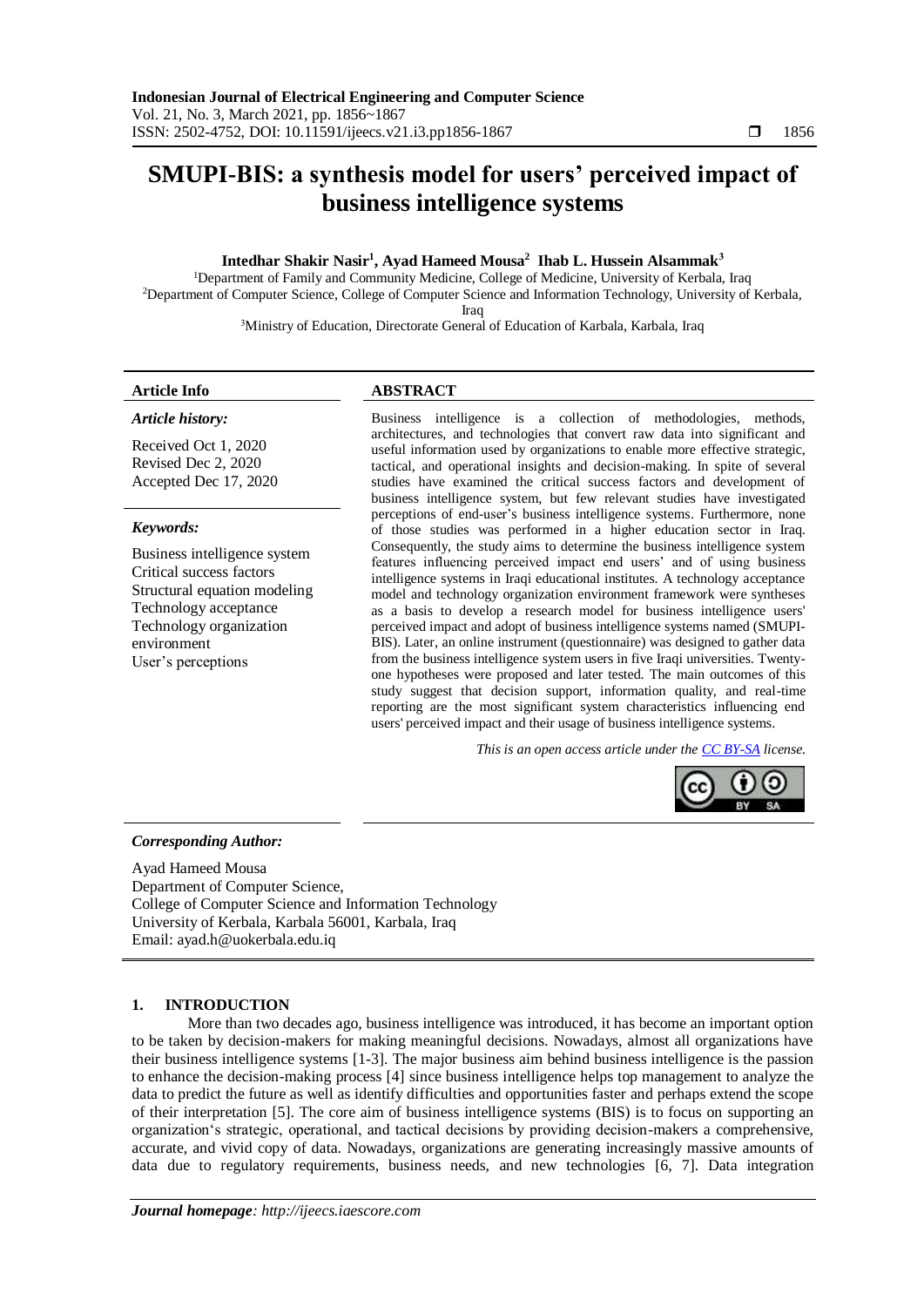# **SMUPI-BIS: a synthesis model for users' perceived impact of business intelligence systems**

# **Intedhar Shakir Nasir<sup>1</sup> , Ayad Hameed Mousa<sup>2</sup> Ihab L. Hussein Alsammak<sup>3</sup>**

<sup>1</sup>Department of Family and Community Medicine, College of Medicine, University of Kerbala, Iraq <sup>2</sup>Department of Computer Science, College of Computer Science and Information Technology, University of Kerbala, Iraq

<sup>3</sup>Ministry of Education, Directorate General of Education of Karbala, Karbala, Iraq

# *Article history:*

Received Oct 1, 2020 Revised Dec 2, 2020 Accepted Dec 17, 2020

# *Keywords:*

Business intelligence system Critical success factors Structural equation modeling Technology acceptance Technology organization environment User's perceptions

# **Article Info ABSTRACT**

Business intelligence is a collection of methodologies, methods, architectures, and technologies that convert raw data into significant and useful information used by organizations to enable more effective strategic, tactical, and operational insights and decision-making. In spite of several studies have examined the critical success factors and development of business intelligence system, but few relevant studies have investigated perceptions of end-user's business intelligence systems. Furthermore, none of those studies was performed in a higher education sector in Iraq. Consequently, the study aims to determine the business intelligence system features influencing perceived impact end users' and of using business intelligence systems in Iraqi educational institutes. A technology acceptance model and technology organization environment framework were syntheses as a basis to develop a research model for business intelligence users' perceived impact and adopt of business intelligence systems named (SMUPI-BIS). Later, an online instrument (questionnaire) was designed to gather data from the business intelligence system users in five Iraqi universities. Twentyone hypotheses were proposed and later tested. The main outcomes of this study suggest that decision support, information quality, and real-time reporting are the most significant system characteristics influencing end users' perceived impact and their usage of business intelligence systems.

*This is an open access article under the [CC BY-SA](https://creativecommons.org/licenses/by-sa/4.0/) license.*



# *Corresponding Author:*

Ayad Hameed Mousa Department of Computer Science, College of Computer Science and Information Technology University of Kerbala, Karbala 56001, Karbala, Iraq Email: ayad.h@uokerbala.edu.iq

# **1. INTRODUCTION**

More than two decades ago, business intelligence was introduced, it has become an important option to be taken by decision-makers for making meaningful decisions. Nowadays, almost all organizations have their business intelligence systems [\[1-3\]](#page-9-0). The major business aim behind business intelligence is the passion to enhance the decision-making process [\[4\]](#page-9-1) since business intelligence helps top management to analyze the data to predict the future as well as identify difficulties and opportunities faster and perhaps extend the scope of their interpretation [\[5\]](#page-9-2). The core aim of business intelligence systems (BIS) is to focus on supporting an organization's strategic, operational, and tactical decisions by providing decision-makers a comprehensive, accurate, and vivid copy of data. Nowadays, organizations are generating increasingly massive amounts of data due to regulatory requirements, business needs, and new technologies [\[6,](#page-9-3) [7\]](#page-9-4). Data integration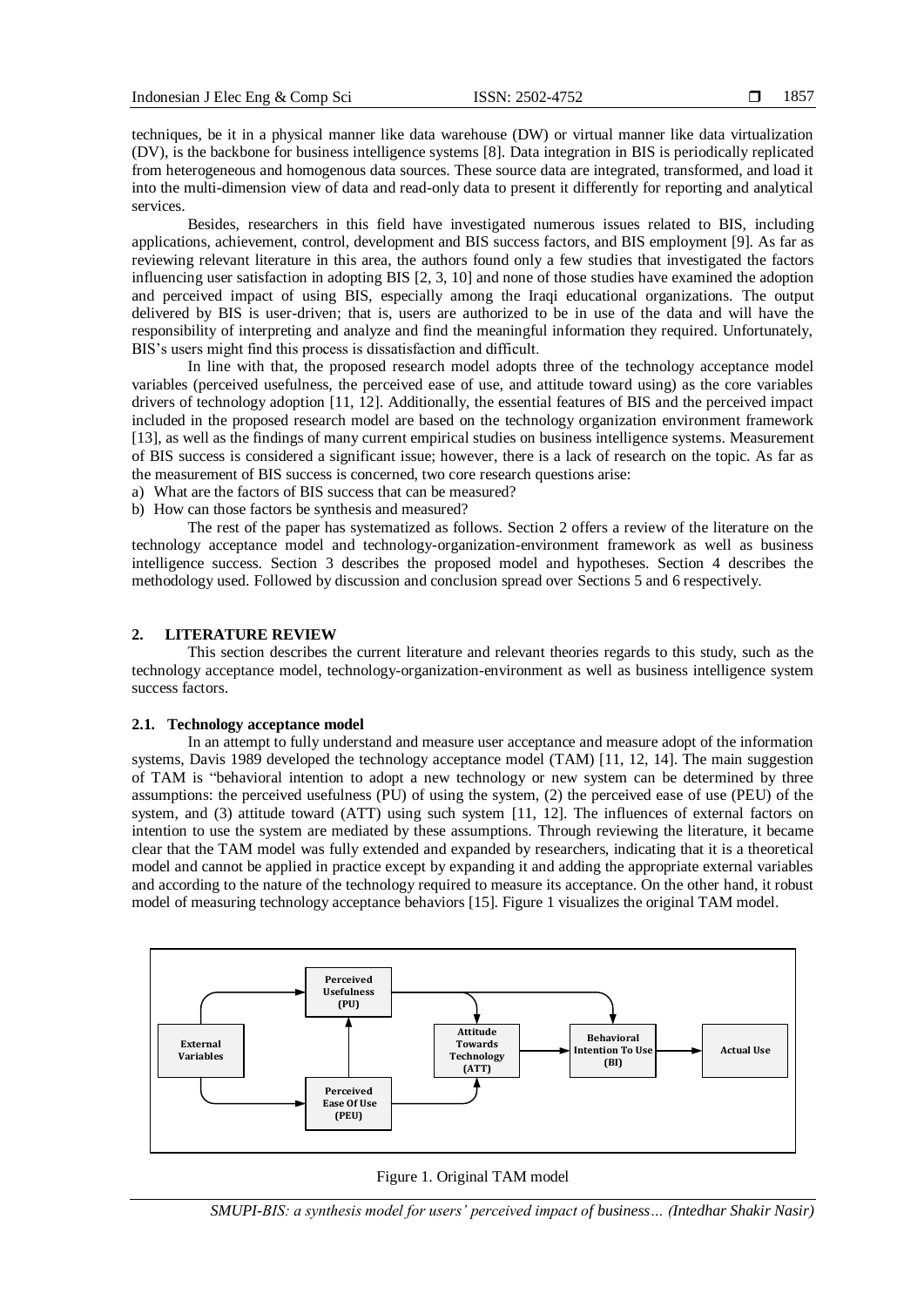techniques, be it in a physical manner like data warehouse (DW) or virtual manner like data virtualization (DV), is the backbone for business intelligence systems [\[8\]](#page-9-5). Data integration in BIS is periodically replicated from heterogeneous and homogenous data sources. These source data are integrated, transformed, and load it into the multi-dimension view of data and read-only data to present it differently for reporting and analytical services.

Besides, researchers in this field have investigated numerous issues related to BIS, including applications, achievement, control, development and BIS success factors, and BIS employment [\[9\]](#page-9-6). As far as reviewing relevant literature in this area, the authors found only a few studies that investigated the factors influencing user satisfaction in adopting BIS [\[2,](#page-9-7) [3,](#page-9-8) [10\]](#page-9-9) and none of those studies have examined the adoption and perceived impact of using BIS, especially among the Iraqi educational organizations. The output delivered by BIS is user-driven; that is, users are authorized to be in use of the data and will have the responsibility of interpreting and analyze and find the meaningful information they required. Unfortunately, BIS's users might find this process is dissatisfaction and difficult.

In line with that, the proposed research model adopts three of the technology acceptance model variables (perceived usefulness, the perceived ease of use, and attitude toward using) as the core variables drivers of technology adoption [\[11,](#page-9-10) [12\]](#page-9-11). Additionally, the essential features of BIS and the perceived impact included in the proposed research model are based on the technology organization environment framework [\[13\]](#page-9-12), as well as the findings of many current empirical studies on business intelligence systems. Measurement of BIS success is considered a significant issue; however, there is a lack of research on the topic. As far as the measurement of BIS success is concerned, two core research questions arise:

- a) What are the factors of BIS success that can be measured?
- b) How can those factors be synthesis and measured?

The rest of the paper has systematized as follows. Section 2 offers a review of the literature on the technology acceptance model and technology-organization-environment framework as well as business intelligence success. Section 3 describes the proposed model and hypotheses. Section 4 describes the methodology used. Followed by discussion and conclusion spread over Sections 5 and 6 respectively.

# **2. LITERATURE REVIEW**

This section describes the current literature and relevant theories regards to this study, such as the technology acceptance model, technology-organization-environment as well as business intelligence system success factors.

# **2.1. Technology acceptance model**

In an attempt to fully understand and measure user acceptance and measure adopt of the information systems, Davis 1989 developed the technology acceptance model (TAM) [\[11,](#page-9-10) [12,](#page-9-11) [14\]](#page-9-13). The main suggestion of TAM is "behavioral intention to adopt a new technology or new system can be determined by three assumptions: the perceived usefulness (PU) of using the system, (2) the perceived ease of use (PEU) of the system, and (3) attitude toward (ATT) using such system [\[11,](#page-9-10) [12\]](#page-9-11). The influences of external factors on intention to use the system are mediated by these assumptions. Through reviewing the literature, it became clear that the TAM model was fully extended and expanded by researchers, indicating that it is a theoretical model and cannot be applied in practice except by expanding it and adding the appropriate external variables and according to the nature of the technology required to measure its acceptance. On the other hand, it robust model of measuring technology acceptance behaviors [15]. Figure 1 visualizes the original TAM model.



#### Figure 1. Original TAM model

*SMUPI-BIS: a synthesis model for users' perceived impact of business… (Intedhar Shakir Nasir)*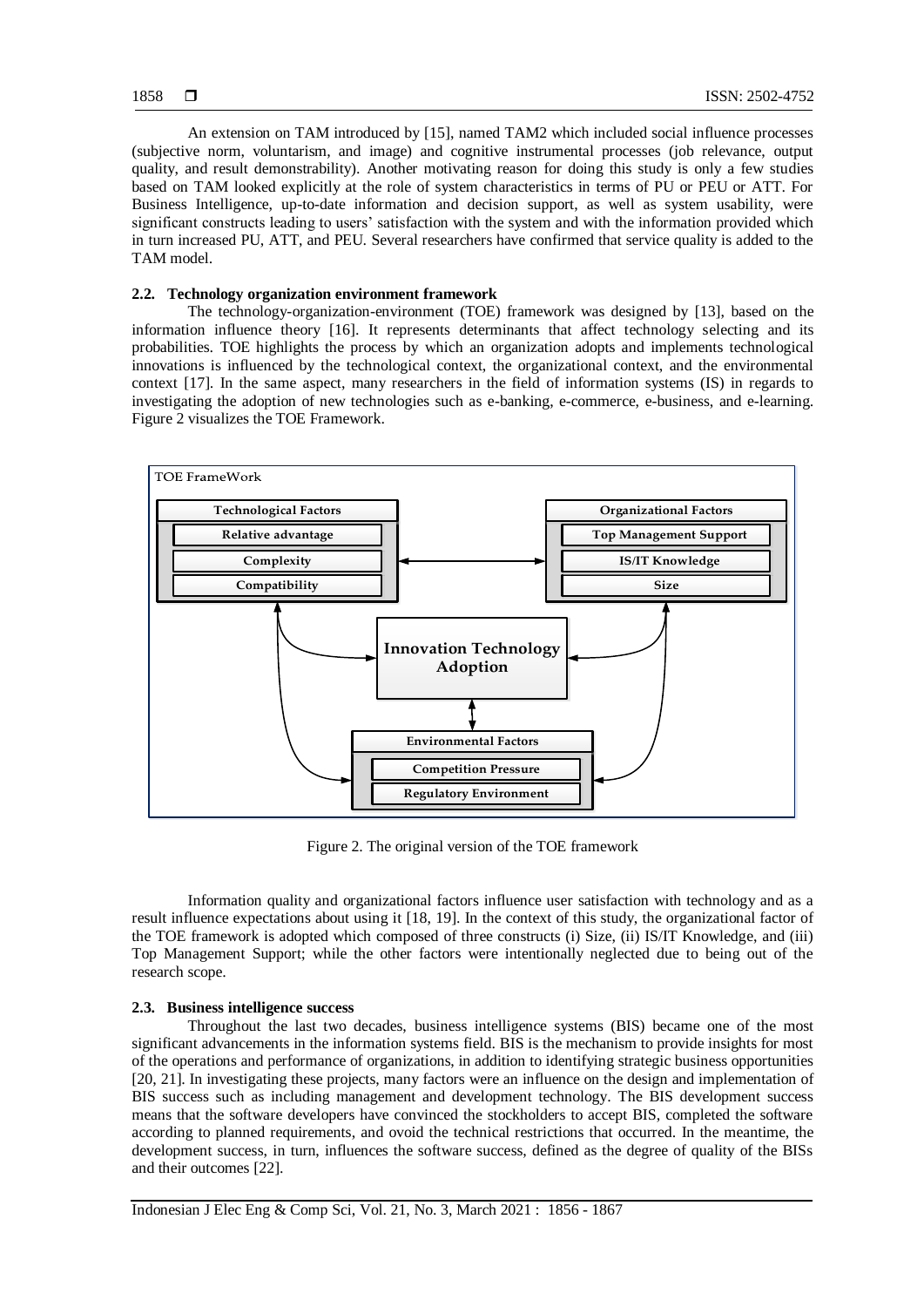An extension on TAM introduced by [\[15\]](#page-9-14), named TAM2 which included social influence processes (subjective norm, voluntarism, and image) and cognitive instrumental processes (job relevance, output quality, and result demonstrability). Another motivating reason for doing this study is only a few studies based on TAM looked explicitly at the role of system characteristics in terms of PU or PEU or ATT. For Business Intelligence, up-to-date information and decision support, as well as system usability, were significant constructs leading to users' satisfaction with the system and with the information provided which in turn increased PU, ATT, and PEU. Several researchers have confirmed that service quality is added to the TAM model.

#### **2.2. Technology organization environment framework**

The technology-organization-environment (TOE) framework was designed by [\[13\]](#page-9-12), based on the information influence theory [\[16\]](#page-9-15). It represents determinants that affect technology selecting and its probabilities. TOE highlights the process by which an organization adopts and implements technological innovations is influenced by the technological context, the organizational context, and the environmental context [\[17\]](#page-9-16). In the same aspect, many researchers in the field of information systems (IS) in regards to investigating the adoption of new technologies such as e-banking, e-commerce, e-business, and e-learning. Figure 2 visualizes the TOE Framework.



Figure 2. The original version of the TOE framework

Information quality and organizational factors influence user satisfaction with technology and as a result influence expectations about using it [\[18,](#page-9-17) [19\]](#page-9-18). In the context of this study, the organizational factor of the TOE framework is adopted which composed of three constructs (i) Size, (ii) IS/IT Knowledge, and (iii) Top Management Support; while the other factors were intentionally neglected due to being out of the research scope.

# **2.3. Business intelligence success**

Throughout the last two decades, business intelligence systems (BIS) became one of the most significant advancements in the information systems field. BIS is the mechanism to provide insights for most of the operations and performance of organizations, in addition to identifying strategic business opportunities [\[20,](#page-9-19) [21\]](#page-9-20). In investigating these projects, many factors were an influence on the design and implementation of BIS success such as including management and development technology. The BIS development success means that the software developers have convinced the stockholders to accept BIS, completed the software according to planned requirements, and ovoid the technical restrictions that occurred. In the meantime, the development success, in turn, influences the software success, defined as the degree of quality of the BISs and their outcomes [\[22\]](#page-9-21).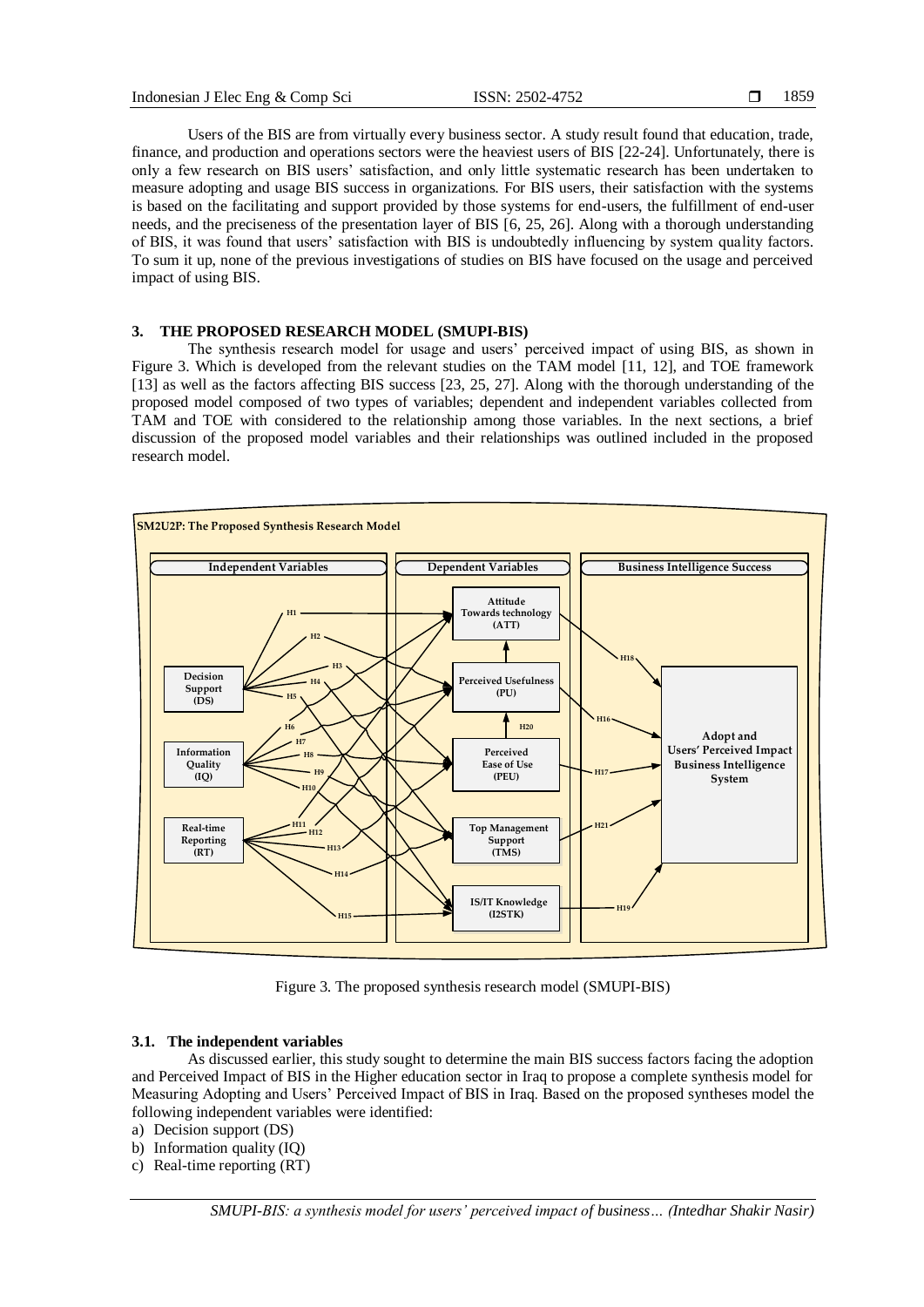Users of the BIS are from virtually every business sector. A study result found that education, trade, finance, and production and operations sectors were the heaviest users of BIS [\[22-24\]](#page-9-21). Unfortunately, there is only a few research on BIS users' satisfaction, and only little systematic research has been undertaken to measure adopting and usage BIS success in organizations. For BIS users, their satisfaction with the systems is based on the facilitating and support provided by those systems for end-users, the fulfillment of end-user needs, and the preciseness of the presentation layer of BIS [\[6,](#page-9-3) [25,](#page-9-22) [26\]](#page-9-23). Along with a thorough understanding of BIS, it was found that users' satisfaction with BIS is undoubtedly influencing by system quality factors. To sum it up, none of the previous investigations of studies on BIS have focused on the usage and perceived impact of using BIS.

# **3. THE PROPOSED RESEARCH MODEL (SMUPI-BIS)**

The synthesis research model for usage and users' perceived impact of using BIS, as shown in Figure 3. Which is developed from the relevant studies on the TAM model [\[11,](#page-9-10) [12\]](#page-9-11), and TOE framework [\[13\]](#page-9-12) as well as the factors affecting BIS success [\[23,](#page-9-24) [25,](#page-9-22) [27\]](#page-9-25). Along with the thorough understanding of the proposed model composed of two types of variables; dependent and independent variables collected from TAM and TOE with considered to the relationship among those variables. In the next sections, a brief discussion of the proposed model variables and their relationships was outlined included in the proposed research model.



Figure 3. The proposed synthesis research model (SMUPI-BIS)

#### **3.1. The independent variables**

As discussed earlier, this study sought to determine the main BIS success factors facing the adoption and Perceived Impact of BIS in the Higher education sector in Iraq to propose a complete synthesis model for Measuring Adopting and Users' Perceived Impact of BIS in Iraq. Based on the proposed syntheses model the following independent variables were identified:

- a) Decision support (DS)
- b) Information quality (IQ)
- c) Real-time reporting (RT)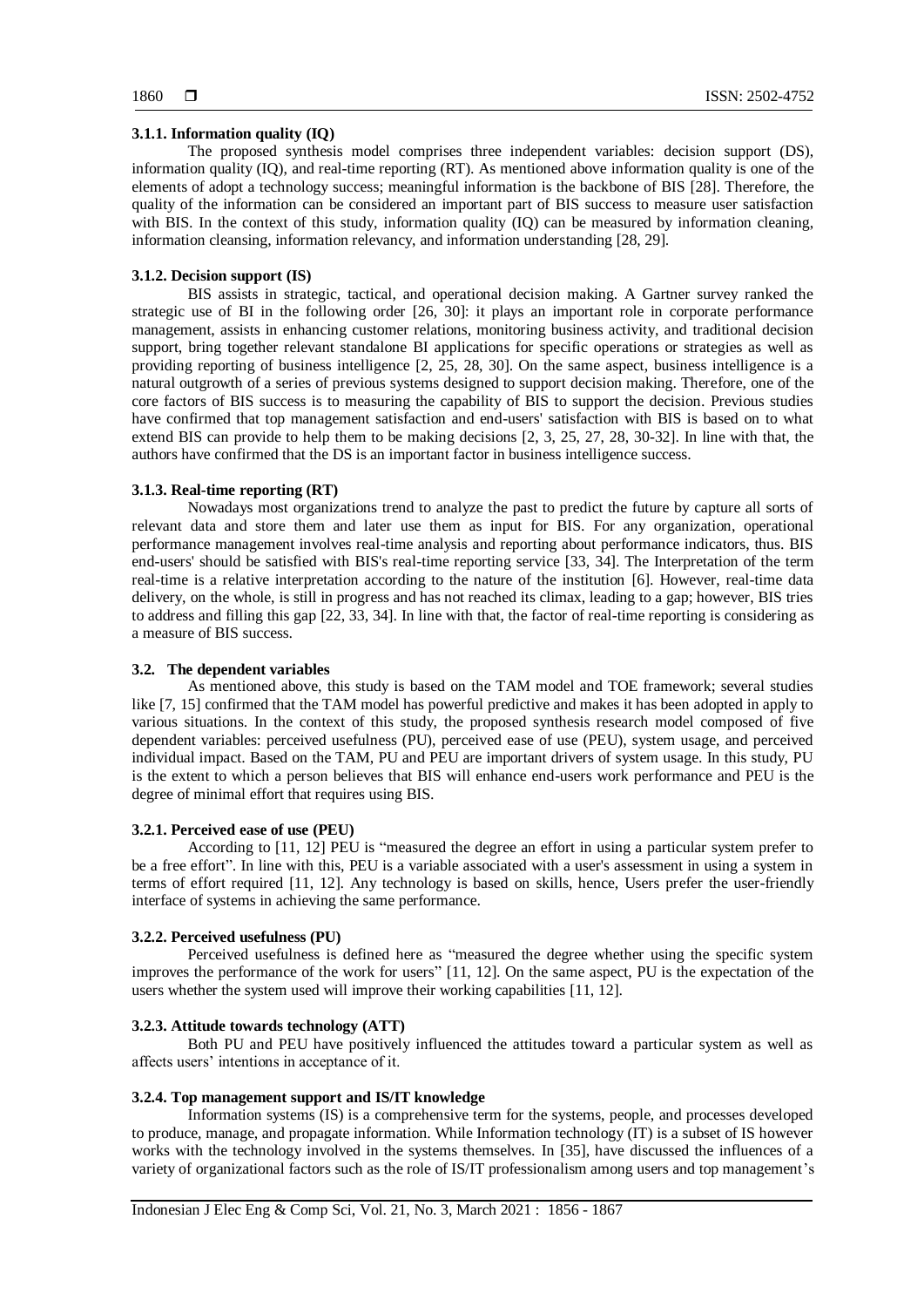#### **3.1.1. Information quality (IQ)**

The proposed synthesis model comprises three independent variables: decision support (DS), information quality (IQ), and real-time reporting (RT). As mentioned above information quality is one of the elements of adopt a technology success; meaningful information is the backbone of BIS [\[28\]](#page-10-0). Therefore, the quality of the information can be considered an important part of BIS success to measure user satisfaction with BIS. In the context of this study, information quality (IQ) can be measured by information cleaning, information cleansing, information relevancy, and information understanding [\[28,](#page-10-0) [29\]](#page-10-1).

#### **3.1.2. Decision support (IS)**

BIS assists in strategic, tactical, and operational decision making. A Gartner survey ranked the strategic use of BI in the following order [\[26,](#page-9-23) [30\]](#page-10-2): it plays an important role in corporate performance management, assists in enhancing customer relations, monitoring business activity, and traditional decision support, bring together relevant standalone BI applications for specific operations or strategies as well as providing reporting of business intelligence [\[2,](#page-9-7) [25,](#page-9-22) [28,](#page-10-0) [30\]](#page-10-2). On the same aspect, business intelligence is a natural outgrowth of a series of previous systems designed to support decision making. Therefore, one of the core factors of BIS success is to measuring the capability of BIS to support the decision. Previous studies have confirmed that top management satisfaction and end-users' satisfaction with BIS is based on to what extend BIS can provide to help them to be making decisions [\[2,](#page-9-7) [3,](#page-9-8) [25,](#page-9-22) [27,](#page-9-25) [28,](#page-10-0) [30-32\]](#page-10-2). In line with that, the authors have confirmed that the DS is an important factor in business intelligence success.

#### **3.1.3. Real-time reporting (RT)**

Nowadays most organizations trend to analyze the past to predict the future by capture all sorts of relevant data and store them and later use them as input for BIS. For any organization, operational performance management involves real-time analysis and reporting about performance indicators, thus. BIS end-users' should be satisfied with BIS's real-time reporting service [\[33,](#page-10-3) [34\]](#page-10-4). The Interpretation of the term real-time is a relative interpretation according to the nature of the institution [\[6\]](#page-9-3). However, real-time data delivery, on the whole, is still in progress and has not reached its climax, leading to a gap; however, BIS tries to address and filling this gap [\[22,](#page-9-21) [33,](#page-10-3) [34\]](#page-10-4). In line with that, the factor of real-time reporting is considering as a measure of BIS success.

# **3.2. The dependent variables**

As mentioned above, this study is based on the TAM model and TOE framework; several studies like [\[7,](#page-9-4) [15\]](#page-9-14) confirmed that the TAM model has powerful predictive and makes it has been adopted in apply to various situations. In the context of this study, the proposed synthesis research model composed of five dependent variables: perceived usefulness (PU), perceived ease of use (PEU), system usage, and perceived individual impact. Based on the TAM, PU and PEU are important drivers of system usage. In this study, PU is the extent to which a person believes that BIS will enhance end-users work performance and PEU is the degree of minimal effort that requires using BIS.

#### **3.2.1. Perceived ease of use (PEU)**

According to [\[11,](#page-9-10) [12\]](#page-9-11) PEU is "measured the degree an effort in using a particular system prefer to be a free effort". In line with this, PEU is a variable associated with a user's assessment in using a system in terms of effort required [\[11,](#page-9-10) [12\]](#page-9-11). Any technology is based on skills, hence, Users prefer the user-friendly interface of systems in achieving the same performance.

# **3.2.2. Perceived usefulness (PU)**

Perceived usefulness is defined here as "measured the degree whether using the specific system improves the performance of the work for users" [\[11,](#page-9-10) [12\]](#page-9-11). On the same aspect, PU is the expectation of the users whether the system used will improve their working capabilities [\[11,](#page-9-10) [12\]](#page-9-11).

# **3.2.3. Attitude towards technology (ATT)**

Both PU and PEU have positively influenced the attitudes toward a particular system as well as affects users' intentions in acceptance of it.

# **3.2.4. Top management support and IS/IT knowledge**

Information systems (IS) is a comprehensive term for the systems, people, and processes developed to produce, manage, and propagate information. While Information technology (IT) is a subset of IS however works with the technology involved in the systems themselves. In [\[35\]](#page-10-5), have discussed the influences of a variety of organizational factors such as the role of IS/IT professionalism among users and top management's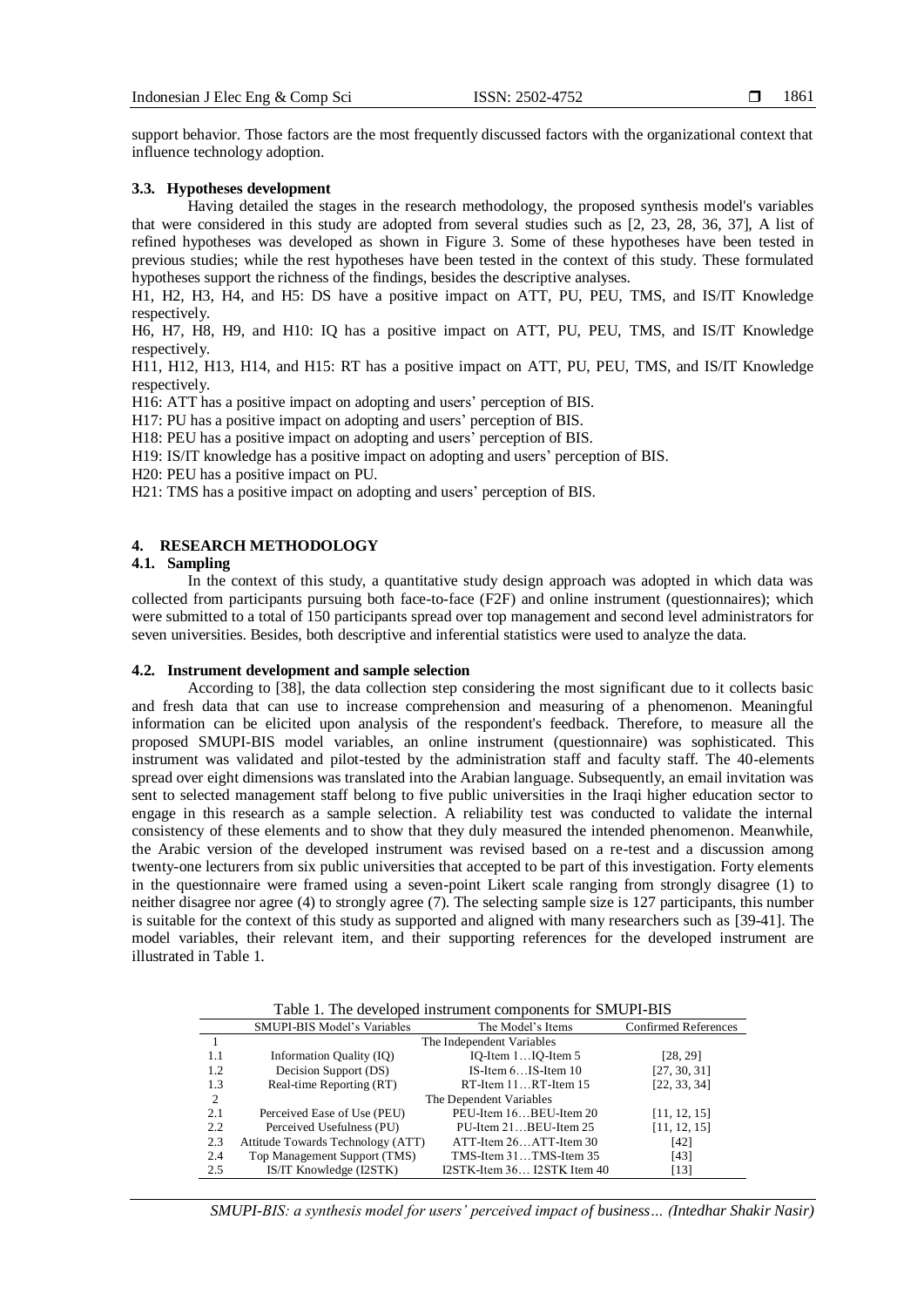support behavior. Those factors are the most frequently discussed factors with the organizational context that influence technology adoption.

# **3.3. Hypotheses development**

Having detailed the stages in the research methodology, the proposed synthesis model's variables that were considered in this study are adopted from several studies such as [\[2,](#page-9-7) [23,](#page-9-24) [28,](#page-10-0) [36,](#page-10-6) [37\]](#page-10-7), A list of refined hypotheses was developed as shown in Figure 3. Some of these hypotheses have been tested in previous studies; while the rest hypotheses have been tested in the context of this study. These formulated hypotheses support the richness of the findings, besides the descriptive analyses.

H1, H2, H3, H4, and H5: DS have a positive impact on ATT, PU, PEU, TMS, and IS/IT Knowledge respectively.

H6, H7, H8, H9, and H10: IQ has a positive impact on ATT, PU, PEU, TMS, and IS/IT Knowledge respectively.

H11, H12, H13, H14, and H15: RT has a positive impact on ATT, PU, PEU, TMS, and IS/IT Knowledge respectively.

H16: ATT has a positive impact on adopting and users' perception of BIS.

H17: PU has a positive impact on adopting and users' perception of BIS.

H18: PEU has a positive impact on adopting and users' perception of BIS.

H19: IS/IT knowledge has a positive impact on adopting and users' perception of BIS.

H20: PEU has a positive impact on PU.

H21: TMS has a positive impact on adopting and users' perception of BIS.

# **4. RESEARCH METHODOLOGY**

#### **4.1. Sampling**

In the context of this study, a quantitative study design approach was adopted in which data was collected from participants pursuing both face-to-face (F2F) and online instrument (questionnaires); which were submitted to a total of 150 participants spread over top management and second level administrators for seven universities. Besides, both descriptive and inferential statistics were used to analyze the data.

# **4.2. Instrument development and sample selection**

According to [\[38\]](#page-10-8), the data collection step considering the most significant due to it collects basic and fresh data that can use to increase comprehension and measuring of a phenomenon. Meaningful information can be elicited upon analysis of the respondent's feedback. Therefore, to measure all the proposed SMUPI-BIS model variables, an online instrument (questionnaire) was sophisticated. This instrument was validated and pilot-tested by the administration staff and faculty staff. The 40-elements spread over eight dimensions was translated into the Arabian language. Subsequently, an email invitation was sent to selected management staff belong to five public universities in the Iraqi higher education sector to engage in this research as a sample selection. A reliability test was conducted to validate the internal consistency of these elements and to show that they duly measured the intended phenomenon. Meanwhile, the Arabic version of the developed instrument was revised based on a re-test and a discussion among twenty-one lecturers from six public universities that accepted to be part of this investigation. Forty elements in the questionnaire were framed using a seven-point Likert scale ranging from strongly disagree (1) to neither disagree nor agree (4) to strongly agree (7). The selecting sample size is 127 participants, this number is suitable for the context of this study as supported and aligned with many researchers such as [\[39-41\]](#page-10-9). The model variables, their relevant item, and their supporting references for the developed instrument are illustrated in Table 1.

Table 1. The developed instrument components for SMUPI-BIS

|     | SMUPI-BIS Model's Variables       | The Model's Items             | <b>Confirmed References</b> |
|-----|-----------------------------------|-------------------------------|-----------------------------|
|     |                                   | The Independent Variables     |                             |
| 1.1 | Information Quality (IQ)          | IO-Item $1$ IO-Item $5$       | [28, 29]                    |
| 1.2 | Decision Support (DS)             | IS-Item $6$ IS-Item $10$      | [27, 30, 31]                |
| 1.3 | Real-time Reporting (RT)          | $RT$ -Item $11RT$ -Item $15$  | [22, 33, 34]                |
| 2   |                                   | The Dependent Variables       |                             |
| 2.1 | Perceived Ease of Use (PEU)       | PEU-Item 16BEU-Item 20        | [11, 12, 15]                |
| 2.2 | Perceived Usefulness (PU)         | PU-Item 21BEU-Item 25         | [11, 12, 15]                |
| 2.3 | Attitude Towards Technology (ATT) | ATT-Item 26ATT-Item 30        | [42]                        |
| 2.4 | Top Management Support (TMS)      | TMS-Item 31TMS-Item 35        | [43]                        |
| 2.5 | IS/IT Knowledge (I2STK)           | $I2STK-Item 36 I2STK Item 40$ | [13]                        |
|     |                                   |                               |                             |

*SMUPI-BIS: a synthesis model for users' perceived impact of business… (Intedhar Shakir Nasir)*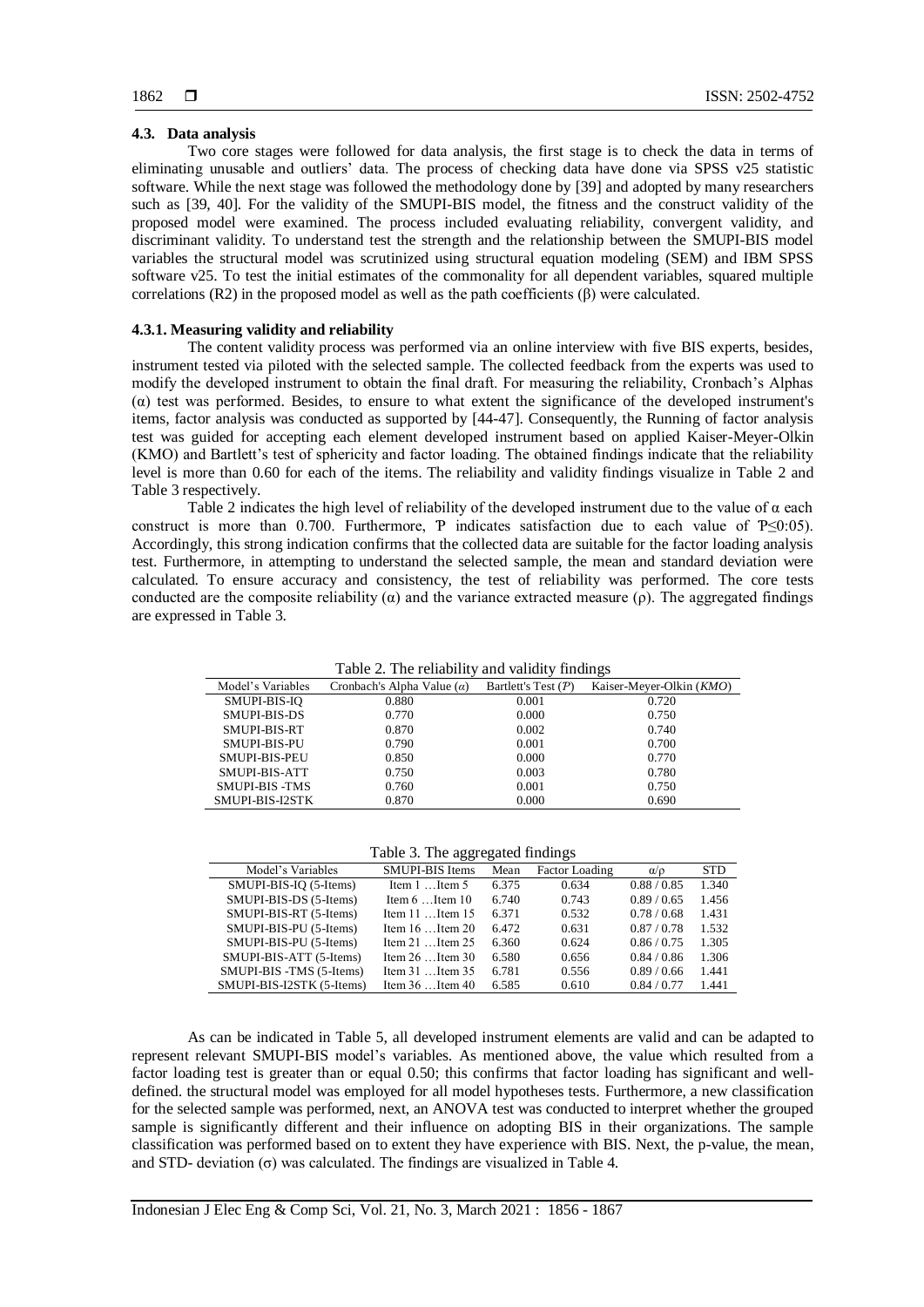# **4.3. Data analysis**

Two core stages were followed for data analysis, the first stage is to check the data in terms of eliminating unusable and outliers' data. The process of checking data have done via SPSS v25 statistic software. While the next stage was followed the methodology done by [\[39\]](#page-10-9) and adopted by many researchers such as [\[39,](#page-10-9) [40\]](#page-10-13). For the validity of the SMUPI-BIS model, the fitness and the construct validity of the proposed model were examined. The process included evaluating reliability, convergent validity, and discriminant validity. To understand test the strength and the relationship between the SMUPI-BIS model variables the structural model was scrutinized using structural equation modeling (SEM) and IBM SPSS software v25. To test the initial estimates of the commonality for all dependent variables, squared multiple correlations  $(R2)$  in the proposed model as well as the path coefficients  $(\beta)$  were calculated.

# **4.3.1. Measuring validity and reliability**

The content validity process was performed via an online interview with five BIS experts, besides, instrument tested via piloted with the selected sample. The collected feedback from the experts was used to modify the developed instrument to obtain the final draft. For measuring the reliability, Cronbach's Alphas (α) test was performed. Besides, to ensure to what extent the significance of the developed instrument's items, factor analysis was conducted as supported by [\[44-47\]](#page-10-14). Consequently, the Running of factor analysis test was guided for accepting each element developed instrument based on applied Kaiser-Meyer-Olkin (KMO) and Bartlett's test of sphericity and factor loading. The obtained findings indicate that the reliability level is more than 0.60 for each of the items. The reliability and validity findings visualize in Table 2 and Table 3 respectively.

Table 2 indicates the high level of reliability of the developed instrument due to the value of  $\alpha$  each construct is more than 0.700. Furthermore, P indicates satisfaction due to each value of  $P \le 0:05$ ). Accordingly, this strong indication confirms that the collected data are suitable for the factor loading analysis test. Furthermore, in attempting to understand the selected sample, the mean and standard deviation were calculated. To ensure accuracy and consistency, the test of reliability was performed. The core tests conducted are the composite reliability  $(\alpha)$  and the variance extracted measure (ρ). The aggregated findings are expressed in Table 3.

Table 2. The reliability and validity findings

| $\cdots$              |                                   |                       |                          |  |  |  |  |
|-----------------------|-----------------------------------|-----------------------|--------------------------|--|--|--|--|
| Model's Variables     | Cronbach's Alpha Value $(\alpha)$ | Bartlett's Test $(P)$ | Kaiser-Meyer-Olkin (KMO) |  |  |  |  |
| SMUPI-BIS-IO          | 0.880                             | 0.001                 | 0.720                    |  |  |  |  |
| SMUPI-BIS-DS          | 0.770                             | 0.000                 | 0.750                    |  |  |  |  |
| SMUPI-BIS-RT          | 0.870                             | 0.002                 | 0.740                    |  |  |  |  |
| SMUPI-BIS-PU          | 0.790                             | 0.001                 | 0.700                    |  |  |  |  |
| <b>SMUPI-BIS-PEU</b>  | 0.850                             | 0.000                 | 0.770                    |  |  |  |  |
| SMUPI-BIS-ATT         | 0.750                             | 0.003                 | 0.780                    |  |  |  |  |
| <b>SMUPI-BIS -TMS</b> | 0.760                             | 0.001                 | 0.750                    |  |  |  |  |
| SMUPI-BIS-I2STK       | 0.870                             | 0.000                 | 0.690                    |  |  |  |  |

Table 3. The aggregated findings

|                           | ັ                        |       |                |               |            |
|---------------------------|--------------------------|-------|----------------|---------------|------------|
| Model's Variables         | <b>SMUPI-BIS Items</b>   | Mean  | Factor Loading | $\alpha/\rho$ | <b>STD</b> |
| SMUPI-BIS-IO (5-Items)    | Item $1$ Item 5          | 6.375 | 0.634          | 0.88 / 0.85   | 1.340      |
| SMUPI-BIS-DS (5-Items)    | Item $6 \dots$ Item $10$ | 6.740 | 0.743          | 0.89/0.65     | 1.456      |
| SMUPI-BIS-RT (5-Items)    | Item $11$ Item $15$      | 6.371 | 0.532          | 0.78/0.68     | 1.431      |
| SMUPI-BIS-PU (5-Items)    | Item $16$ Item $20$      | 6.472 | 0.631          | 0.87/0.78     | 1.532      |
| SMUPI-BIS-PU (5-Items)    | Item $21$ Item $25$      | 6.360 | 0.624          | 0.86/0.75     | 1.305      |
| SMUPI-BIS-ATT (5-Items)   | Item $26$ Item $30$      | 6.580 | 0.656          | 0.84/0.86     | 1.306      |
| SMUPI-BIS -TMS (5-Items)  | Item $31$ Item $35$      | 6.781 | 0.556          | 0.89/0.66     | 1.441      |
| SMUPI-BIS-I2STK (5-Items) | Item $36$ Item $40$      | 6.585 | 0.610          | 0.84/0.77     | 1.441      |

As can be indicated in Table 5, all developed instrument elements are valid and can be adapted to represent relevant SMUPI-BIS model's variables. As mentioned above, the value which resulted from a factor loading test is greater than or equal 0.50; this confirms that factor loading has significant and welldefined. the structural model was employed for all model hypotheses tests. Furthermore, a new classification for the selected sample was performed, next, an ANOVA test was conducted to interpret whether the grouped sample is significantly different and their influence on adopting BIS in their organizations. The sample classification was performed based on to extent they have experience with BIS. Next, the p-value, the mean, and STD- deviation  $(\sigma)$  was calculated. The findings are visualized in Table 4.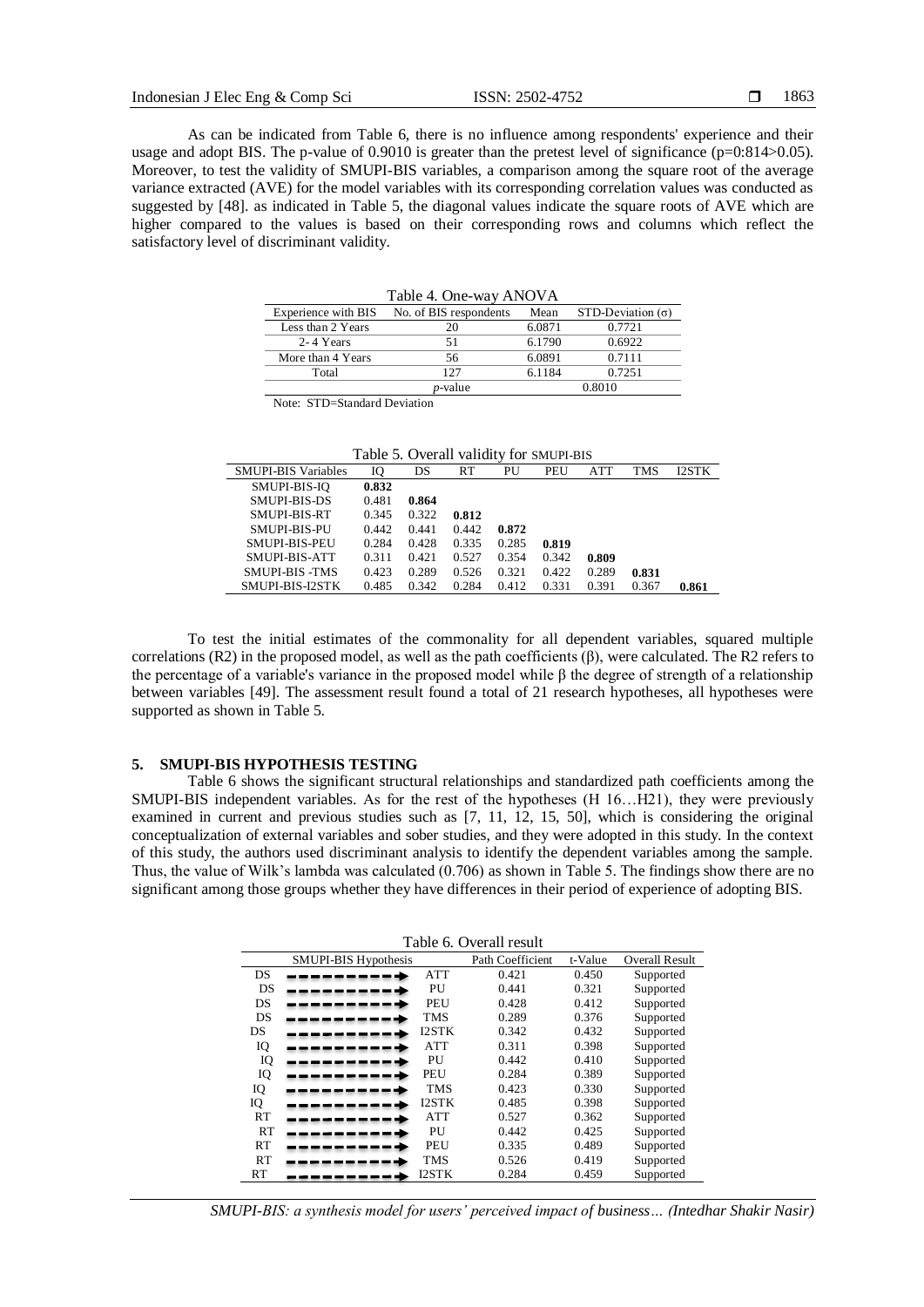As can be indicated from Table 6, there is no influence among respondents' experience and their usage and adopt BIS. The p-value of 0.9010 is greater than the pretest level of significance ( $p=0.814>0.05$ ). Moreover, to test the validity of SMUPI-BIS variables, a comparison among the square root of the average variance extracted (AVE) for the model variables with its corresponding correlation values was conducted as suggested by [48]. as indicated in Table 5, the diagonal values indicate the square roots of AVE which are higher compared to the values is based on their corresponding rows and columns which reflect the satisfactory level of discriminant validity.

| Table 4. One-way ANOVA    |                        |        |                          |  |  |  |  |
|---------------------------|------------------------|--------|--------------------------|--|--|--|--|
| Experience with BIS       | No. of BIS respondents | Mean   | STD-Deviation $(\sigma)$ |  |  |  |  |
| Less than 2 Years         |                        | 6.0871 | 0.7721                   |  |  |  |  |
| 2-4 Years                 | 51                     | 6.1790 | 0.6922                   |  |  |  |  |
| More than 4 Years         | 56                     | 6.0891 | 0.7111                   |  |  |  |  |
| Total                     | 127                    | 6.1184 | 0.7251                   |  |  |  |  |
| 0.8010<br><i>p</i> -value |                        |        |                          |  |  |  |  |

Note: STD=Standard Deviation

| Table 5. Overall validity for SMUPI-BIS |  |
|-----------------------------------------|--|
|-----------------------------------------|--|

| <b>SMUPI-BIS Variables</b> | Ю     | DS    | RT    | PU    | PEU   | ATT   | TMS   | I2STK |
|----------------------------|-------|-------|-------|-------|-------|-------|-------|-------|
| SMUPI-BIS-IO               | 0.832 |       |       |       |       |       |       |       |
| SMUPI-BIS-DS               | 0.481 | 0.864 |       |       |       |       |       |       |
| SMUPI-BIS-RT               | 0.345 | 0.322 | 0.812 |       |       |       |       |       |
| SMUPI-BIS-PU               | 0.442 | 0.441 | 0.442 | 0.872 |       |       |       |       |
| <b>SMUPI-BIS-PEU</b>       | 0.284 | 0.428 | 0.335 | 0.285 | 0.819 |       |       |       |
| SMUPI-BIS-ATT              | 0.311 | 0.421 | 0.527 | 0.354 | 0.342 | 0.809 |       |       |
| <b>SMUPI-BIS -TMS</b>      | 0.423 | 0.289 | 0.526 | 0.321 | 0.422 | 0.289 | 0.831 |       |
| SMUPI-BIS-J2STK            | 0.485 | 0.342 | 0.284 | 0.412 | 0.331 | 0.391 | 0.367 | 0.861 |

To test the initial estimates of the commonality for all dependent variables, squared multiple correlations (R2) in the proposed model, as well as the path coefficients (β), were calculated. The R2 refers to the percentage of a variable's variance in the proposed model while β the degree of strength of a relationship between variables [49]. The assessment result found a total of 21 research hypotheses, all hypotheses were supported as shown in Table 5.

#### **5. SMUPI-BIS HYPOTHESIS TESTING**

Table 6 shows the significant structural relationships and standardized path coefficients among the SMUPI-BIS independent variables. As for the rest of the hypotheses (H 16…H21), they were previously examined in current and previous studies such as [\[7,](#page-9-4) [11,](#page-9-10) [12,](#page-9-11) [15,](#page-9-14) [50\]](#page-10-15), which is considering the original conceptualization of external variables and sober studies, and they were adopted in this study. In the context of this study, the authors used discriminant analysis to identify the dependent variables among the sample. Thus, the value of Wilk's lambda was calculated (0.706) as shown in Table 5. The findings show there are no significant among those groups whether they have differences in their period of experience of adopting BIS.

| Table 6. Overall result |                      |              |                  |         |                       |  |
|-------------------------|----------------------|--------------|------------------|---------|-----------------------|--|
|                         | SMUPI-BIS Hypothesis |              | Path Coefficient | t-Value | <b>Overall Result</b> |  |
| DS                      |                      | <b>ATT</b>   | 0.421            | 0.450   | Supported             |  |
| DS                      |                      | PU           | 0.441            | 0.321   | Supported             |  |
| DS                      |                      | PEU          | 0.428            | 0.412   | Supported             |  |
| DS                      |                      | TMS          | 0.289            | 0.376   | Supported             |  |
| DS                      |                      | <b>I2STK</b> | 0.342            | 0.432   | Supported             |  |
| IQ                      |                      | <b>ATT</b>   | 0.311            | 0.398   | Supported             |  |
| IQ                      |                      | PU           | 0.442            | 0.410   | Supported             |  |
| IQ                      |                      | PEU          | 0.284            | 0.389   | Supported             |  |
| IQ                      |                      | <b>TMS</b>   | 0.423            | 0.330   | Supported             |  |
| IQ                      |                      | <b>I2STK</b> | 0.485            | 0.398   | Supported             |  |
| RT                      |                      | <b>ATT</b>   | 0.527            | 0.362   | Supported             |  |
| RT                      |                      | PU           | 0.442            | 0.425   | Supported             |  |
| RT                      |                      | PEU          | 0.335            | 0.489   | Supported             |  |
| RT                      |                      | TMS          | 0.526            | 0.419   | Supported             |  |
| RT                      |                      | I2STK        | 0.284            | 0.459   | Supported             |  |

*SMUPI-BIS: a synthesis model for users' perceived impact of business… (Intedhar Shakir Nasir)*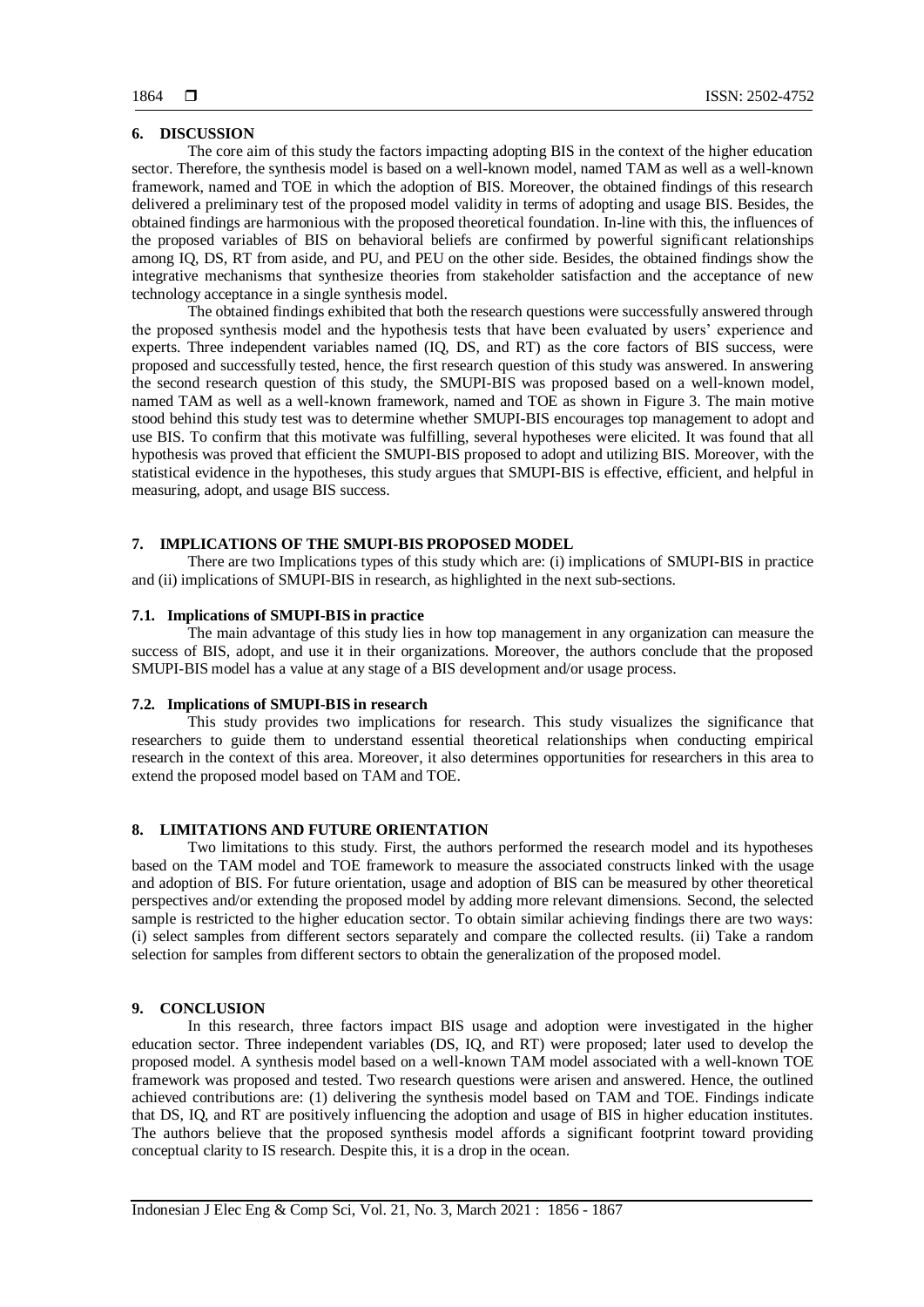# **6. DISCUSSION**

The core aim of this study the factors impacting adopting BIS in the context of the higher education sector. Therefore, the synthesis model is based on a well-known model, named TAM as well as a well-known framework, named and TOE in which the adoption of BIS. Moreover, the obtained findings of this research delivered a preliminary test of the proposed model validity in terms of adopting and usage BIS. Besides, the obtained findings are harmonious with the proposed theoretical foundation. In-line with this, the influences of the proposed variables of BIS on behavioral beliefs are confirmed by powerful significant relationships among IQ, DS, RT from aside, and PU, and PEU on the other side. Besides, the obtained findings show the integrative mechanisms that synthesize theories from stakeholder satisfaction and the acceptance of new technology acceptance in a single synthesis model.

The obtained findings exhibited that both the research questions were successfully answered through the proposed synthesis model and the hypothesis tests that have been evaluated by users' experience and experts. Three independent variables named (IQ, DS, and RT) as the core factors of BIS success, were proposed and successfully tested, hence, the first research question of this study was answered. In answering the second research question of this study, the SMUPI-BIS was proposed based on a well-known model, named TAM as well as a well-known framework, named and TOE as shown in Figure 3. The main motive stood behind this study test was to determine whether SMUPI-BIS encourages top management to adopt and use BIS. To confirm that this motivate was fulfilling, several hypotheses were elicited. It was found that all hypothesis was proved that efficient the SMUPI-BIS proposed to adopt and utilizing BIS. Moreover, with the statistical evidence in the hypotheses, this study argues that SMUPI-BIS is effective, efficient, and helpful in measuring, adopt, and usage BIS success.

# **7. IMPLICATIONS OF THE SMUPI-BIS PROPOSED MODEL**

There are two Implications types of this study which are: (i) implications of SMUPI-BIS in practice and (ii) implications of SMUPI-BIS in research, as highlighted in the next sub-sections.

#### **7.1. Implications of SMUPI-BIS in practice**

The main advantage of this study lies in how top management in any organization can measure the success of BIS, adopt, and use it in their organizations. Moreover, the authors conclude that the proposed SMUPI-BIS model has a value at any stage of a BIS development and/or usage process.

# **7.2. Implications of SMUPI-BIS in research**

This study provides two implications for research. This study visualizes the significance that researchers to guide them to understand essential theoretical relationships when conducting empirical research in the context of this area. Moreover, it also determines opportunities for researchers in this area to extend the proposed model based on TAM and TOE.

#### **8. LIMITATIONS AND FUTURE ORIENTATION**

Two limitations to this study. First, the authors performed the research model and its hypotheses based on the TAM model and TOE framework to measure the associated constructs linked with the usage and adoption of BIS. For future orientation, usage and adoption of BIS can be measured by other theoretical perspectives and/or extending the proposed model by adding more relevant dimensions. Second, the selected sample is restricted to the higher education sector. To obtain similar achieving findings there are two ways: (i) select samples from different sectors separately and compare the collected results. (ii) Take a random selection for samples from different sectors to obtain the generalization of the proposed model.

# **9. CONCLUSION**

In this research, three factors impact BIS usage and adoption were investigated in the higher education sector. Three independent variables (DS, IQ, and RT) were proposed; later used to develop the proposed model. A synthesis model based on a well-known TAM model associated with a well-known TOE framework was proposed and tested. Two research questions were arisen and answered. Hence, the outlined achieved contributions are: (1) delivering the synthesis model based on TAM and TOE. Findings indicate that DS, IQ, and RT are positively influencing the adoption and usage of BIS in higher education institutes. The authors believe that the proposed synthesis model affords a significant footprint toward providing conceptual clarity to IS research. Despite this, it is a drop in the ocean.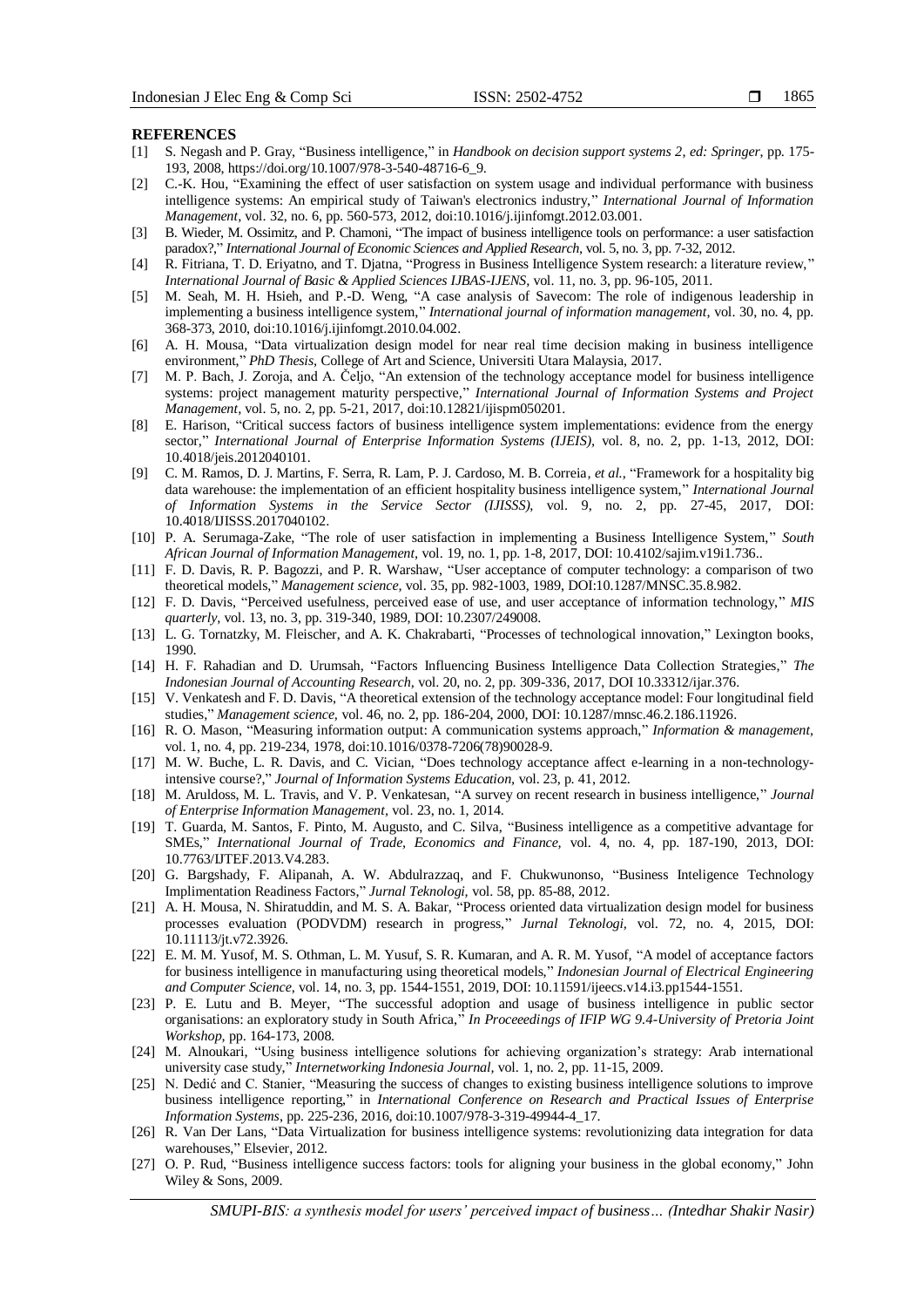#### **REFERENCES**

- <span id="page-9-0"></span>[1] S. Negash and P. Gray, "Business intelligence," in *Handbook on decision support systems 2*, *ed: Springer*, pp. 175- 193, 2008, https://doi.org/10.1007/978-3-540-48716-6\_9.
- <span id="page-9-7"></span>[2] C.-K. Hou, "Examining the effect of user satisfaction on system usage and individual performance with business intelligence systems: An empirical study of Taiwan's electronics industry," *International Journal of Information Management,* vol. 32, no. 6, pp. 560-573, 2012, doi:10.1016/j.ijinfomgt.2012.03.001.
- <span id="page-9-8"></span>[3] B. Wieder, M. Ossimitz, and P. Chamoni, "The impact of business intelligence tools on performance: a user satisfaction paradox?," *International Journal of Economic Sciences and Applied Research,* vol. 5, no. 3, pp. 7-32, 2012.
- <span id="page-9-1"></span>[4] R. Fitriana, T. D. Eriyatno, and T. Djatna, "Progress in Business Intelligence System research: a literature review," *International Journal of Basic & Applied Sciences IJBAS-IJENS,* vol. 11, no. 3, pp. 96-105, 2011.
- <span id="page-9-2"></span>[5] M. Seah, M. H. Hsieh, and P.-D. Weng, "A case analysis of Savecom: The role of indigenous leadership in implementing a business intelligence system," *International journal of information management,* vol. 30, no. 4, pp. 368-373, 2010, doi:10.1016/j.ijinfomgt.2010.04.002.
- <span id="page-9-3"></span>[6] A. H. Mousa, "Data virtualization design model for near real time decision making in business intelligence environment," *PhD Thesis*, College of Art and Science, Universiti Utara Malaysia, 2017.
- <span id="page-9-4"></span>[7] M. P. Bach, J. Zoroja, and A. Čeljo, "An extension of the technology acceptance model for business intelligence systems: project management maturity perspective," *International Journal of Information Systems and Project Management,* vol. 5, no. 2, pp. 5-21, 2017, doi:10.12821/ijispm050201.
- <span id="page-9-5"></span>[8] E. Harison, "Critical success factors of business intelligence system implementations: evidence from the energy sector," *International Journal of Enterprise Information Systems (IJEIS),* vol. 8, no. 2, pp. 1-13, 2012, DOI: 10.4018/jeis.2012040101.
- <span id="page-9-6"></span>[9] C. M. Ramos, D. J. Martins, F. Serra, R. Lam, P. J. Cardoso, M. B. Correia*, et al.*, "Framework for a hospitality big data warehouse: the implementation of an efficient hospitality business intelligence system," *International Journal of Information Systems in the Service Sector (IJISSS),* vol. 9, no. 2, pp. 27-45, 2017, DOI: 10.4018/IJISSS.2017040102.
- <span id="page-9-9"></span>[10] P. A. Serumaga-Zake, "The role of user satisfaction in implementing a Business Intelligence System," *South African Journal of Information Management,* vol. 19, no. 1, pp. 1-8, 2017, DOI: 10.4102/sajim.v19i1.736..
- <span id="page-9-10"></span>[11] F. D. Davis, R. P. Bagozzi, and P. R. Warshaw, "User acceptance of computer technology: a comparison of two theoretical models," *Management science,* vol. 35, pp. 982-1003, 1989, DOI:10.1287/MNSC.35.8.982.
- <span id="page-9-11"></span>[12] F. D. Davis, "Perceived usefulness, perceived ease of use, and user acceptance of information technology," *MIS quarterly,* vol. 13, no. 3, pp. 319-340, 1989, DOI: 10.2307/249008.
- <span id="page-9-12"></span>[13] L. G. Tornatzky, M. Fleischer, and A. K. Chakrabarti, "Processes of technological innovation," Lexington books, 1990.
- <span id="page-9-13"></span>[14] H. F. Rahadian and D. Urumsah, "Factors Influencing Business Intelligence Data Collection Strategies," *The Indonesian Journal of Accounting Research,* vol. 20, no. 2, pp. 309-336, 2017, DOI 10.33312/ijar.376.
- <span id="page-9-14"></span>[15] V. Venkatesh and F. D. Davis, "A theoretical extension of the technology acceptance model: Four longitudinal field studies," *Management science,* vol. 46, no. 2, pp. 186-204, 2000, DOI: 10.1287/mnsc.46.2.186.11926.
- <span id="page-9-15"></span>[16] R. O. Mason, "Measuring information output: A communication systems approach," *Information & management,*  vol. 1, no. 4, pp. 219-234, 1978, doi:10.1016/0378-7206(78)90028-9.
- <span id="page-9-16"></span>[17] M. W. Buche, L. R. Davis, and C. Vician, "Does technology acceptance affect e-learning in a non-technologyintensive course?," *Journal of Information Systems Education,* vol. 23, p. 41, 2012.
- <span id="page-9-17"></span>[18] M. Aruldoss, M. L. Travis, and V. P. Venkatesan, "A survey on recent research in business intelligence," *Journal of Enterprise Information Management,* vol. 23, no. 1, 2014.
- <span id="page-9-18"></span>[19] T. Guarda, M. Santos, F. Pinto, M. Augusto, and C. Silva, "Business intelligence as a competitive advantage for SMEs," *International Journal of Trade, Economics and Finance,* vol. 4, no. 4, pp. 187-190, 2013, DOI: 10.7763/IJTEF.2013.V4.283.
- <span id="page-9-19"></span>[20] G. Bargshady, F. Alipanah, A. W. Abdulrazzaq, and F. Chukwunonso, "Business Inteligence Technology Implimentation Readiness Factors," *Jurnal Teknologi,* vol. 58, pp. 85-88, 2012.
- <span id="page-9-20"></span>[21] A. H. Mousa, N. Shiratuddin, and M. S. A. Bakar, "Process oriented data virtualization design model for business processes evaluation (PODVDM) research in progress," *Jurnal Teknologi,* vol. 72, no. 4, 2015, DOI: 10.11113/jt.v72.3926.
- <span id="page-9-21"></span>[22] E. M. M. Yusof, M. S. Othman, L. M. Yusuf, S. R. Kumaran, and A. R. M. Yusof, "A model of acceptance factors for business intelligence in manufacturing using theoretical models," *Indonesian Journal of Electrical Engineering and Computer Science,* vol. 14, no. 3, pp. 1544-1551, 2019, DOI: 10.11591/ijeecs.v14.i3.pp1544-1551.
- <span id="page-9-24"></span>[23] P. E. Lutu and B. Meyer, "The successful adoption and usage of business intelligence in public sector organisations: an exploratory study in South Africa," *In Proceeedings of IFIP WG 9.4-University of Pretoria Joint Workshop,* pp. 164-173, 2008.
- [24] M. Alnoukari, "Using business intelligence solutions for achieving organization's strategy: Arab international university case study," *Internetworking Indonesia Journal,* vol. 1, no. 2, pp. 11-15, 2009.
- <span id="page-9-22"></span>[25] N. Dedić and C. Stanier, "Measuring the success of changes to existing business intelligence solutions to improve business intelligence reporting," in *International Conference on Research and Practical Issues of Enterprise Information Systems*, pp. 225-236, 2016, doi:10.1007/978-3-319-49944-4\_17.
- <span id="page-9-23"></span>[26] R. Van Der Lans, "Data Virtualization for business intelligence systems: revolutionizing data integration for data warehouses," Elsevier, 2012.
- <span id="page-9-25"></span>[27] O. P. Rud, "Business intelligence success factors: tools for aligning your business in the global economy," John Wiley & Sons, 2009.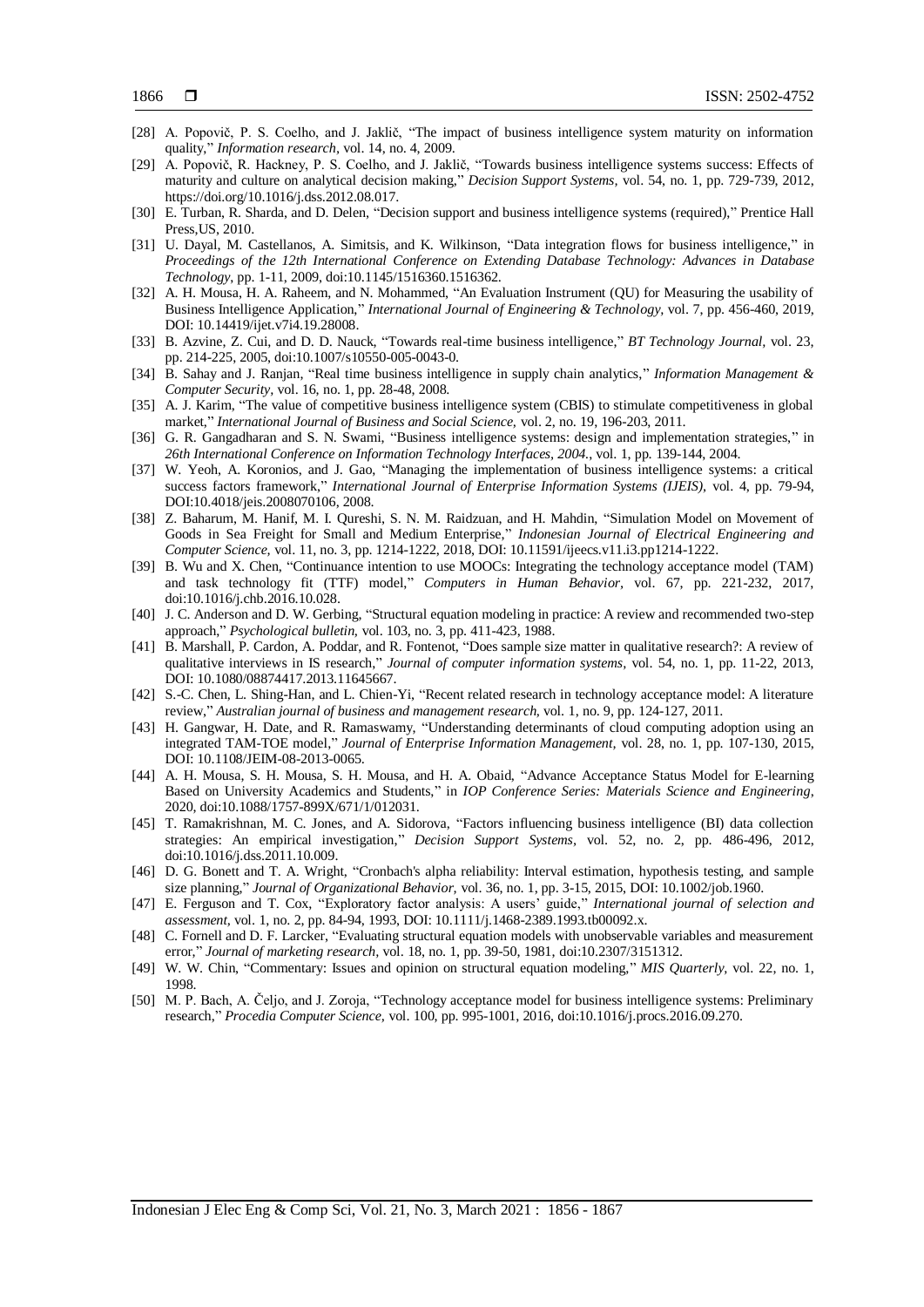- <span id="page-10-0"></span>[28] A. Popovič, P. S. Coelho, and J. Jaklič, "The impact of business intelligence system maturity on information quality," *Information research,* vol. 14, no. 4, 2009.
- <span id="page-10-1"></span>[29] A. Popovič, R. Hackney, P. S. Coelho, and J. Jaklič, "Towards business intelligence systems success: Effects of maturity and culture on analytical decision making," *Decision Support Systems,* vol. 54, no. 1, pp. 729-739, 2012, https://doi.org/10.1016/j.dss.2012.08.017.
- <span id="page-10-2"></span>[30] E. Turban, R. Sharda, and D. Delen, "Decision support and business intelligence systems (required)," Prentice Hall Press,US, 2010.
- <span id="page-10-10"></span>[31] U. Dayal, M. Castellanos, A. Simitsis, and K. Wilkinson, "Data integration flows for business intelligence," in *Proceedings of the 12th International Conference on Extending Database Technology: Advances in Database Technology*, pp. 1-11, 2009, doi:10.1145/1516360.1516362.
- [32] A. H. Mousa, H. A. Raheem, and N. Mohammed, "An Evaluation Instrument (QU) for Measuring the usability of Business Intelligence Application," *International Journal of Engineering & Technology,* vol. 7, pp. 456-460, 2019, DOI: 10.14419/ijet.v7i4.19.28008.
- <span id="page-10-3"></span>[33] B. Azvine, Z. Cui, and D. D. Nauck, "Towards real-time business intelligence," *BT Technology Journal,* vol. 23, pp. 214-225, 2005, doi:10.1007/s10550-005-0043-0.
- <span id="page-10-4"></span>[34] B. Sahay and J. Ranjan, "Real time business intelligence in supply chain analytics," *Information Management & Computer Security,* vol. 16, no. 1, pp. 28-48, 2008.
- <span id="page-10-5"></span>[35] A. J. Karim, "The value of competitive business intelligence system (CBIS) to stimulate competitiveness in global market," *International Journal of Business and Social Science,* vol. 2, no. 19, 196-203, 2011.
- <span id="page-10-6"></span>[36] G. R. Gangadharan and S. N. Swami, "Business intelligence systems: design and implementation strategies," in *26th International Conference on Information Technology Interfaces, 2004.*, vol. 1, pp. 139-144, 2004.
- <span id="page-10-7"></span>[37] W. Yeoh, A. Koronios, and J. Gao, "Managing the implementation of business intelligence systems: a critical success factors framework," *International Journal of Enterprise Information Systems (IJEIS),* vol. 4, pp. 79-94, DOI:10.4018/jeis.2008070106, 2008.
- <span id="page-10-8"></span>[38] Z. Baharum, M. Hanif, M. I. Qureshi, S. N. M. Raidzuan, and H. Mahdin, "Simulation Model on Movement of Goods in Sea Freight for Small and Medium Enterprise," *Indonesian Journal of Electrical Engineering and Computer Science,* vol. 11, no. 3, pp. 1214-1222, 2018, DOI: 10.11591/ijeecs.v11.i3.pp1214-1222.
- <span id="page-10-9"></span>[39] B. Wu and X. Chen, "Continuance intention to use MOOCs: Integrating the technology acceptance model (TAM) and task technology fit (TTF) model," *Computers in Human Behavior,* vol. 67, pp. 221-232, 2017, doi:10.1016/j.chb.2016.10.028.
- <span id="page-10-13"></span>[40] J. C. Anderson and D. W. Gerbing, "Structural equation modeling in practice: A review and recommended two-step approach," *Psychological bulletin,* vol. 103, no. 3, pp. 411-423, 1988.
- [41] B. Marshall, P. Cardon, A. Poddar, and R. Fontenot, "Does sample size matter in qualitative research?: A review of qualitative interviews in IS research," *Journal of computer information systems,* vol. 54, no. 1, pp. 11-22, 2013, DOI: 10.1080/08874417.2013.11645667.
- <span id="page-10-11"></span>[42] S.-C. Chen, L. Shing-Han, and L. Chien-Yi, "Recent related research in technology acceptance model: A literature review," *Australian journal of business and management research,* vol. 1, no. 9, pp. 124-127, 2011.
- <span id="page-10-12"></span>[43] H. Gangwar, H. Date, and R. Ramaswamy, "Understanding determinants of cloud computing adoption using an integrated TAM-TOE model," *Journal of Enterprise Information Management,* vol. 28, no. 1, pp. 107-130, 2015, DOI: 10.1108/JEIM-08-2013-0065.
- <span id="page-10-14"></span>[44] A. H. Mousa, S. H. Mousa, S. H. Mousa, and H. A. Obaid, "Advance Acceptance Status Model for E-learning Based on University Academics and Students," in *IOP Conference Series: Materials Science and Engineering*, 2020, doi:10.1088/1757-899X/671/1/012031.
- [45] T. Ramakrishnan, M. C. Jones, and A. Sidorova, "Factors influencing business intelligence (BI) data collection strategies: An empirical investigation," *Decision Support Systems,* vol. 52, no. 2, pp. 486-496, 2012, doi:10.1016/j.dss.2011.10.009.
- [46] D. G. Bonett and T. A. Wright, "Cronbach's alpha reliability: Interval estimation, hypothesis testing, and sample size planning," *Journal of Organizational Behavior,* vol. 36, no. 1, pp. 3-15, 2015, DOI: 10.1002/job.1960.
- [47] E. Ferguson and T. Cox, "Exploratory factor analysis: A users' guide," *International journal of selection and assessment,* vol. 1, no. 2, pp. 84-94, 1993, DOI: 10.1111/j.1468-2389.1993.tb00092.x.
- [48] C. Fornell and D. F. Larcker, "Evaluating structural equation models with unobservable variables and measurement error," *Journal of marketing research,* vol. 18, no. 1, pp. 39-50, 1981, doi:10.2307/3151312.
- [49] W. W. Chin, "Commentary: Issues and opinion on structural equation modeling," *MIS Quarterly,* vol. 22, no. 1, 1998.
- <span id="page-10-15"></span>[50] M. P. Bach, A. Čeljo, and J. Zoroja, "Technology acceptance model for business intelligence systems: Preliminary research," *Procedia Computer Science,* vol. 100, pp. 995-1001, 2016, doi:10.1016/j.procs.2016.09.270.